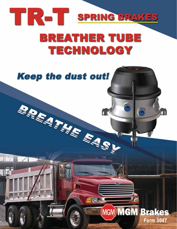

## **Keep the dust out! BARATALE EASY** MGM **MGM Brakes Form 5047**

 $\prod y^2$